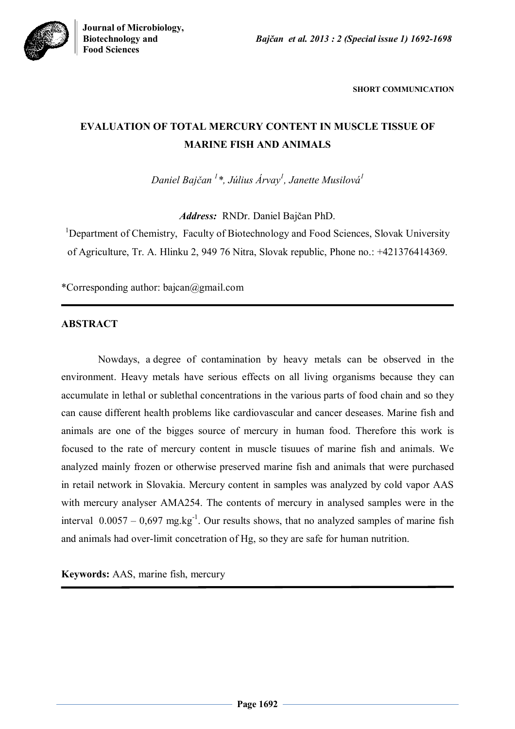

**SHORT COMMUNICATION**

# **EVALUATION OF TOTAL MERCURY CONTENT IN MUSCLE TISSUE OF MARINE FISH AND ANIMALS**

*Daniel Bajčan <sup>1</sup> \*, Július Árvay<sup>1</sup> , Janette Musilová<sup>1</sup>*

*Address:* RNDr. Daniel Bajčan PhD.

<sup>1</sup>Department of Chemistry, Faculty of Biotechnology and Food Sciences, Slovak University of Agriculture, Tr. A. Hlinku 2, 949 76 Nitra, Slovak republic, Phone no.: +421376414369.

\*Corresponding author: bajcan@gmail.com

### **ABSTRACT**

Nowdays, a degree of contamination by heavy metals can be observed in the environment. Heavy metals have serious effects on all living organisms because they can accumulate in lethal or sublethal concentrations in the various parts of food chain and so they can cause different health problems like cardiovascular and cancer deseases. Marine fish and animals are one of the bigges source of mercury in human food. Therefore this work is focused to the rate of mercury content in muscle tisuues of marine fish and animals. We analyzed mainly frozen or otherwise preserved marine fish and animals that were purchased in retail network in Slovakia. Mercury content in samples was analyzed by cold vapor AAS with mercury analyser AMA254. The contents of mercury in analysed samples were in the interval  $0.0057 - 0.697$  mg.kg<sup>-1</sup>. Our results shows, that no analyzed samples of marine fish and animals had over-limit concetration of Hg, so they are safe for human nutrition.

**Keywords:** AAS, marine fish, mercury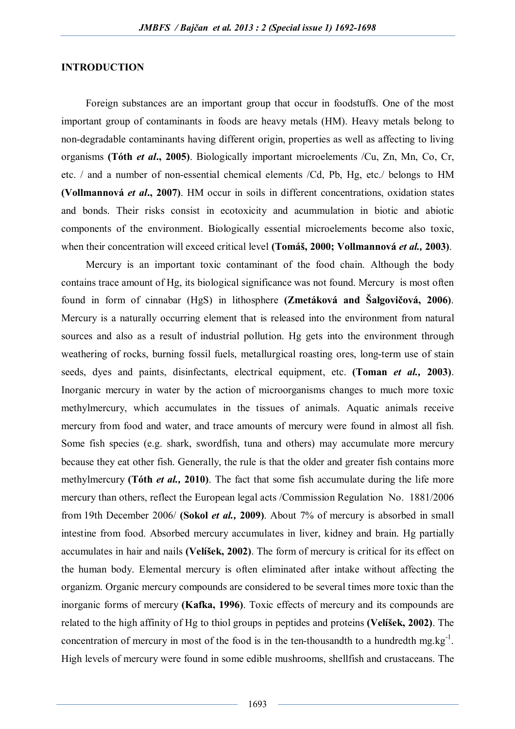#### **INTRODUCTION**

Foreign substances are an important group that occur in foodstuffs. One of the most important group of contaminants in foods are heavy metals (HM). Heavy metals belong to non-degradable contaminants having different origin, properties as well as affecting to living organisms **(Tóth** *et al***., 2005)**. Biologically important microelements /Cu, Zn, Mn, Co, Cr, etc. / and a number of non-essential chemical elements /Cd, Pb, Hg, etc./ belongs to HM **(Vollmannová** *et al***., 2007)**. HM occur in soils in different concentrations, oxidation states and bonds. Their risks consist in ecotoxicity and acummulation in biotic and abiotic components of the environment. Biologically essential microelements become also toxic, when their concentration will exceed critical level **(Tomáš, 2000; Vollmannová** *et al.,* **2003)**.

Mercury is an important toxic contaminant of the food chain. Although the body contains trace amount of Hg, its biological significance was not found. Mercury is most often found in form of cinnabar (HgS) in lithosphere **(Zmetáková and Šalgovičová, 2006)**. Mercury is a naturally occurring element that is released into the environment from natural sources and also as a result of industrial pollution. Hg gets into the environment through weathering of rocks, burning fossil fuels, metallurgical roasting ores, long-term use of stain seeds, dyes and paints, disinfectants, electrical equipment, etc. **(Toman** *et al.,* **2003)**. Inorganic mercury in water by the action of microorganisms changes to much more toxic methylmercury, which accumulates in the tissues of animals. Aquatic animals receive mercury from food and water, and trace amounts of mercury were found in almost all fish. Some fish species (e.g. shark, swordfish, tuna and others) may accumulate more mercury because they eat other fish. Generally, the rule is that the older and greater fish contains more methylmercury **(Tóth** *et al.,* **2010)**. The fact that some fish accumulate during the life more mercury than others, reflect the European legal acts /Commission Regulation No. 1881/2006 from 19th December 2006/ **(Sokol** *et al.,* **2009)**. About 7% of mercury is absorbed in small intestine from food. Absorbed mercury accumulates in liver, kidney and brain. Hg partially accumulates in hair and nails **(Velíšek, 2002)**. The form of mercury is critical for its effect on the human body. Elemental mercury is often eliminated after intake without affecting the organizm. Organic mercury compounds are considered to be several times more toxic than the inorganic forms of mercury **(Kafka, 1996)**. Toxic effects of mercury and its compounds are related to the high affinity of Hg to thiol groups in peptides and proteins **(Velíšek, 2002)**. The concentration of mercury in most of the food is in the ten-thousandth to a hundredth mg.kg<sup>-1</sup>. High levels of mercury were found in some edible mushrooms, shellfish and crustaceans. The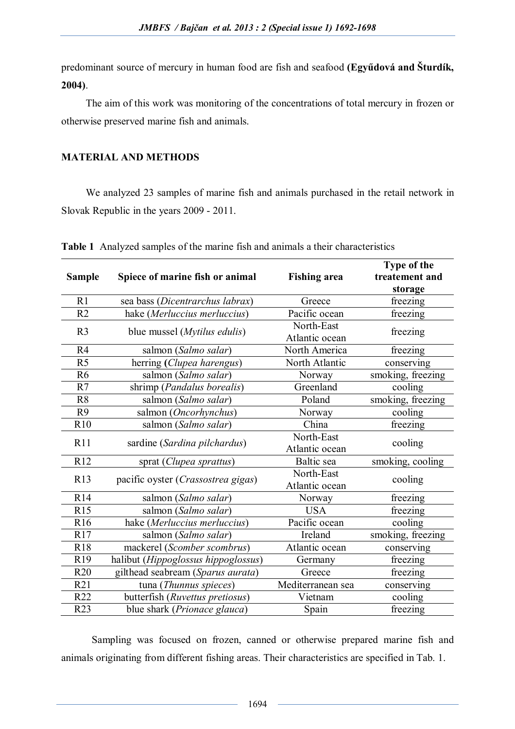predominant source of mercury in human food are fish and seafood **(Egyűdová and Šturdík, 2004)**.

The aim of this work was monitoring of the concentrations of total mercury in frozen or otherwise preserved marine fish and animals.

## **MATERIAL AND METHODS**

We analyzed 23 samples of marine fish and animals purchased in the retail network in Slovak Republic in the years 2009 - 2011.

|                 |                                             |                     | Type of the       |
|-----------------|---------------------------------------------|---------------------|-------------------|
| <b>Sample</b>   | Spiece of marine fish or animal             | <b>Fishing area</b> | treatement and    |
|                 |                                             |                     | storage           |
| R1              | sea bass (Dicentrarchus labrax)             | Greece              | freezing          |
| R <sub>2</sub>  | hake (Merluccius merluccius)                | Pacific ocean       | freezing          |
| R <sub>3</sub>  | blue mussel ( <i>Mytilus edulis</i> )       | North-East          | freezing          |
|                 |                                             | Atlantic ocean      |                   |
| R <sub>4</sub>  | salmon (Salmo salar)                        | North America       | freezing          |
| R <sub>5</sub>  | herring (Clupea harengus)                   | North Atlantic      | conserving        |
| R <sub>6</sub>  | salmon (Salmo salar)                        | Norway              | smoking, freezing |
| R7              | shrimp (Pandalus borealis)                  | Greenland           | cooling           |
| R <sub>8</sub>  | salmon (Salmo salar)                        | Poland              | smoking, freezing |
| R <sub>9</sub>  | salmon (Oncorhynchus)                       | Norway              | cooling           |
| R10             | salmon (Salmo salar)                        | China               | freezing          |
| R11             | sardine (Sardina pilchardus)                | North-East          | cooling           |
|                 |                                             | Atlantic ocean      |                   |
| R12             | sprat (Clupea sprattus)                     | Baltic sea          | smoking, cooling  |
| R13             | pacific oyster ( <i>Crassostrea gigas</i> ) | North-East          | cooling           |
|                 |                                             | Atlantic ocean      |                   |
| R14             | salmon (Salmo salar)                        | Norway              | freezing          |
| R15             | salmon (Salmo salar)                        | <b>USA</b>          | freezing          |
| R <sub>16</sub> | hake (Merluccius merluccius)                | Pacific ocean       | cooling           |
| R17             | salmon (Salmo salar)                        | Ireland             | smoking, freezing |
| R18             | mackerel (Scomber scombrus)                 | Atlantic ocean      | conserving        |
| R19             | halibut (Hippoglossus hippoglossus)         | Germany             | freezing          |
| <b>R20</b>      | gilthead seabream (Sparus aurata)           | Greece              | freezing          |
| R21             | tuna (Thunnus spieces)                      | Mediterranean sea   | conserving        |
| R22             | butterfish (Ruvettus pretiosus)             | Vietnam             | cooling           |
| R23             | blue shark (Prionace glauca)                | Spain               | freezing          |
|                 |                                             |                     |                   |

**Table 1** Analyzed samples of the marine fish and animals a their characteristics

Sampling was focused on frozen, canned or otherwise prepared marine fish and animals originating from different fishing areas. Their characteristics are specified in Tab. 1.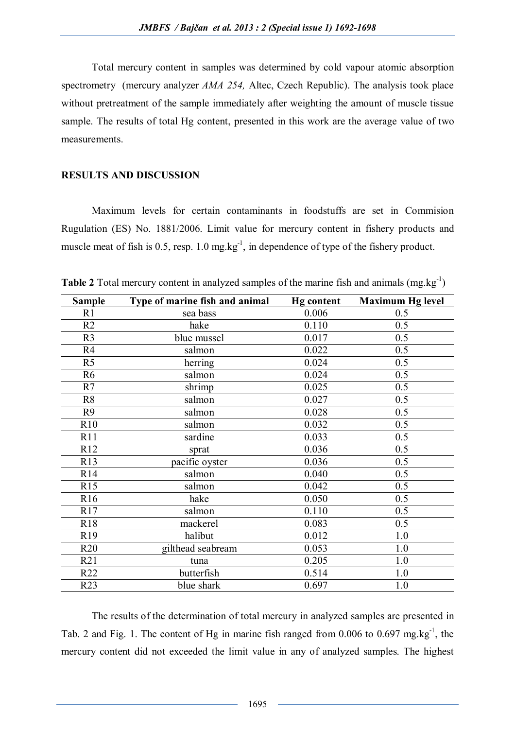Total mercury content in samples was determined by cold vapour atomic absorption spectrometry (mercury analyzer *AMA 254,* Altec, Czech Republic). The analysis took place without pretreatment of the sample immediately after weighting the amount of muscle tissue sample. The results of total Hg content, presented in this work are the average value of two measurements.

#### **RESULTS AND DISCUSSION**

Maximum levels for certain contaminants in foodstuffs are set in Commision Rugulation (ES) No. 1881/2006. Limit value for mercury content in fishery products and muscle meat of fish is  $0.5$ , resp.  $1.0 \text{ mg} \cdot \text{kg}^{-1}$ , in dependence of type of the fishery product.

| <b>Sample</b>   | Type of marine fish and animal | <b>Hg</b> content | <b>Maximum Hg level</b> |
|-----------------|--------------------------------|-------------------|-------------------------|
| R1              | sea bass                       | 0.006             | 0.5                     |
| R2              | hake                           | 0.110             | 0.5                     |
| R <sub>3</sub>  | blue mussel                    | 0.017             | 0.5                     |
| R <sub>4</sub>  | salmon                         | 0.022             | 0.5                     |
| R <sub>5</sub>  | herring                        | 0.024             | 0.5                     |
| R <sub>6</sub>  | salmon                         | 0.024             | 0.5                     |
| R7              | shrimp                         | 0.025             | 0.5                     |
| R <sub>8</sub>  | salmon                         | 0.027             | 0.5                     |
| R <sub>9</sub>  | salmon                         | 0.028             | 0.5                     |
| R <sub>10</sub> | salmon                         | 0.032             | 0.5                     |
| R11             | sardine                        | 0.033             | 0.5                     |
| R12             | sprat                          | 0.036             | 0.5                     |
| R13             | pacific oyster                 | 0.036             | 0.5                     |
| R14             | salmon                         | 0.040             | 0.5                     |
| R15             | salmon                         | 0.042             | 0.5                     |
| R <sub>16</sub> | hake                           | 0.050             | 0.5                     |
| R17             | salmon                         | 0.110             | 0.5                     |
| <b>R18</b>      | mackerel                       | 0.083             | 0.5                     |
| R <sub>19</sub> | halibut                        | 0.012             | 1.0                     |
| R20             | gilthead seabream              | 0.053             | 1.0                     |
| R21             | tuna                           | 0.205             | 1.0                     |
| R22             | butterfish                     | 0.514             | 1.0                     |
| R23             | blue shark                     | 0.697             | 1.0                     |

**Table 2** Total mercury content in analyzed samples of the marine fish and animals  $(mg.kg^{-1})$ 

The results of the determination of total mercury in analyzed samples are presented in Tab. 2 and Fig. 1. The content of Hg in marine fish ranged from 0.006 to 0.697 mg.kg<sup>-1</sup>, the mercury content did not exceeded the limit value in any of analyzed samples. The highest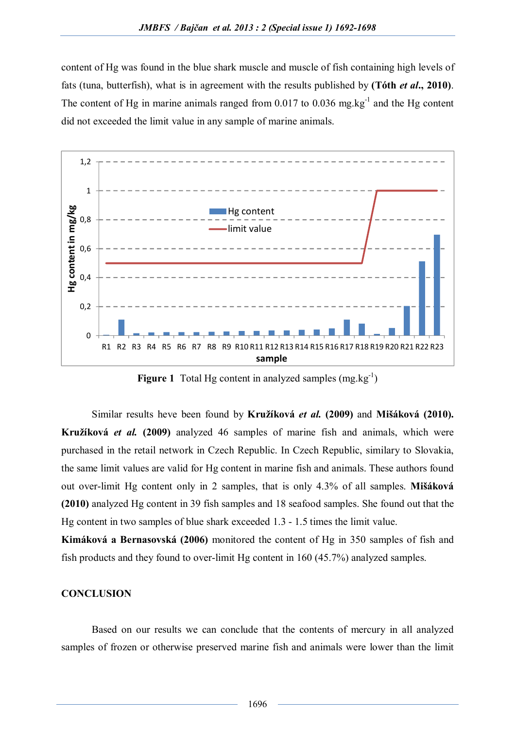content of Hg was found in the blue shark muscle and muscle of fish containing high levels of fats (tuna, butterfish), what is in agreement with the results published by **(Tóth** *et al***., 2010)**. The content of Hg in marine animals ranged from  $0.017$  to  $0.036$  mg.kg<sup>-1</sup> and the Hg content did not exceeded the limit value in any sample of marine animals.



Figure 1 Total Hg content in analyzed samples (mg.kg<sup>-1</sup>)

Similar results heve been found by **Kružíková** *et al.* **(2009)** and **Mišáková (2010). Kružíková** *et al.* **(2009)** analyzed 46 samples of marine fish and animals, which were purchased in the retail network in Czech Republic. In Czech Republic, similary to Slovakia, the same limit values are valid for Hg content in marine fish and animals. These authors found out over-limit Hg content only in 2 samples, that is only 4.3% of all samples. **Mišáková (2010)** analyzed Hg content in 39 fish samples and 18 seafood samples. She found out that the Hg content in two samples of blue shark exceeded 1.3 - 1.5 times the limit value.

**Kimáková a Bernasovská (2006)** monitored the content of Hg in 350 samples of fish and fish products and they found to over-limit Hg content in 160 (45.7%) analyzed samples.

### **CONCLUSION**

Based on our results we can conclude that the contents of mercury in all analyzed samples of frozen or otherwise preserved marine fish and animals were lower than the limit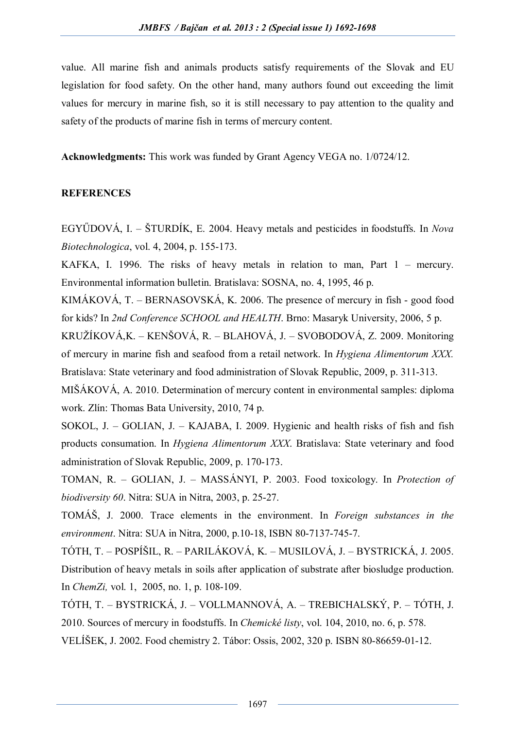value. All marine fish and animals products satisfy requirements of the Slovak and EU legislation for food safety. On the other hand, many authors found out exceeding the limit values for mercury in marine fish, so it is still necessary to pay attention to the quality and safety of the products of marine fish in terms of mercury content.

**Acknowledgments:** This work was funded by Grant Agency VEGA no. 1/0724/12.

### **REFERENCES**

EGYŰDOVÁ, I. – ŠTURDÍK, E. 2004. Heavy metals and pesticides in foodstuffs. In *Nova Biotechnologica*, vol. 4, 2004, p. 155-173.

KAFKA, I. 1996. The risks of heavy metals in relation to man, Part 1 – mercury. Environmental information bulletin. Bratislava: SOSNA, no. 4, 1995, 46 p.

KIMÁKOVÁ, T. – BERNASOVSKÁ, K. 2006. The presence of mercury in fish - good food for kids? In *2nd Conference SCHOOL and HEALTH*. Brno: Masaryk University, 2006, 5 p.

KRUŽÍKOVÁ,K. – KENŠOVÁ, R. – BLAHOVÁ, J. – SVOBODOVÁ, Z. 2009. Monitoring of mercury in marine fish and seafood from a retail network. In *Hygiena Alimentorum XXX.* Bratislava: State veterinary and food administration of Slovak Republic, 2009, p. 311-313.

MIŠÁKOVÁ, A. 2010. Determination of mercury content in environmental samples: diploma work. Zlín: Thomas Bata University, 2010, 74 p.

SOKOL, J. – GOLIAN, J. – KAJABA, I. 2009. Hygienic and health risks of fish and fish products consumation. In *Hygiena Alimentorum XXX*. Bratislava: State veterinary and food administration of Slovak Republic, 2009, p. 170-173.

TOMAN, R. – GOLIAN, J. – MASSÁNYI, P. 2003. Food toxicology. In *Protection of biodiversity 60*. Nitra: SUA in Nitra, 2003, p. 25-27.

TOMÁŠ, J. 2000. Trace elements in the environment. In *Foreign substances in the environment*. Nitra: SUA in Nitra, 2000, p.10-18, ISBN 80-7137-745-7.

TÓTH, T. – POSPÍŠIL, R. – PARILÁKOVÁ, K. – MUSILOVÁ, J. – BYSTRICKÁ, J. 2005. Distribution of heavy metals in soils after application of substrate after biosludge production. In *ChemZi,* vol. 1, 2005, no. 1, p. 108-109.

TÓTH, T. – BYSTRICKÁ, J. – VOLLMANNOVÁ, A. – TREBICHALSKÝ, P. – TÓTH, J. 2010. Sources of mercury in foodstuffs. In *Chemické listy*, vol. 104, 2010, no. 6, p. 578. VELÍŠEK, J. 2002. Food chemistry 2. Tábor: Ossis, 2002, 320 p. ISBN 80-86659-01-12.